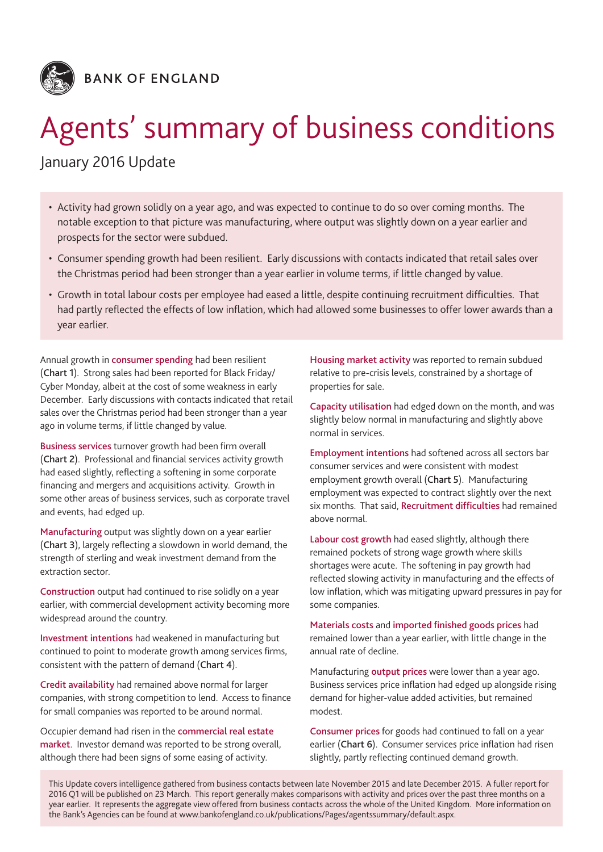

# Agents' summary of business conditions

## January 2016 Update

- • Activity had grown solidly on a year ago, and was expected to continue to do so over coming months. The notable exception to that picture was manufacturing, where output was slightly down on a year earlier and prospects for the sector were subdued.
- • Consumer spending growth had been resilient. Early discussions with contacts indicated that retail sales over the Christmas period had been stronger than a year earlier in volume terms, if little changed by value.
- • Growth in total labour costs per employee had eased a little, despite continuing recruitment difficulties. That had partly reflected the effects of low inflation, which had allowed some businesses to offer lower awards than a year earlier.

Annual growth in consumer spending had been resilient (Chart 1). Strong sales had been reported for Black Friday/ Cyber Monday, albeit at the cost of some weakness in early December. Early discussions with contacts indicated that retail sales over the Christmas period had been stronger than a year ago in volume terms, if little changed by value.

Business services turnover growth had been firm overall (Chart 2). Professional and financial services activity growth had eased slightly, reflecting a softening in some corporate financing and mergers and acquisitions activity. Growth in some other areas of business services, such as corporate travel and events, had edged up.

Manufacturing output was slightly down on a year earlier (Chart 3), largely reflecting a slowdown in world demand, the strength of sterling and weak investment demand from the extraction sector.

Construction output had continued to rise solidly on a year earlier, with commercial development activity becoming more widespread around the country.

Investment intentions had weakened in manufacturing but continued to point to moderate growth among services firms, consistent with the pattern of demand (Chart 4).

Credit availability had remained above normal for larger companies, with strong competition to lend. Access to finance for small companies was reported to be around normal.

Occupier demand had risen in the commercial real estate market. Investor demand was reported to be strong overall, although there had been signs of some easing of activity.

Housing market activity was reported to remain subdued relative to pre-crisis levels, constrained by a shortage of properties for sale.

Capacity utilisation had edged down on the month, and was slightly below normal in manufacturing and slightly above normal in services.

Employment intentions had softened across all sectors bar consumer services and were consistent with modest employment growth overall (Chart 5). Manufacturing employment was expected to contract slightly over the next six months. That said, Recruitment difficulties had remained above normal.

Labour cost growth had eased slightly, although there remained pockets of strong wage growth where skills shortages were acute. The softening in pay growth had reflected slowing activity in manufacturing and the effects of low inflation, which was mitigating upward pressures in pay for some companies.

Materials costs and imported finished goods prices had remained lower than a year earlier, with little change in the annual rate of decline.

Manufacturing **output prices** were lower than a year ago. Business services price inflation had edged up alongside rising demand for higher-value added activities, but remained modest.

Consumer prices for goods had continued to fall on a year earlier (Chart 6). Consumer services price inflation had risen slightly, partly reflecting continued demand growth.

This Update covers intelligence gathered from business contacts between late November 2015 and late December 2015. A fuller report for 2016 Q1 will be published on 23 March. This report generally makes comparisons with activity and prices over the past three months on a year earlier. It represents the aggregate view offered from business contacts across the whole of the United Kingdom. More information on the Bank's Agencies can be found at www.bankofengland.co.uk/publications/Pages/agentssummary/default.aspx.